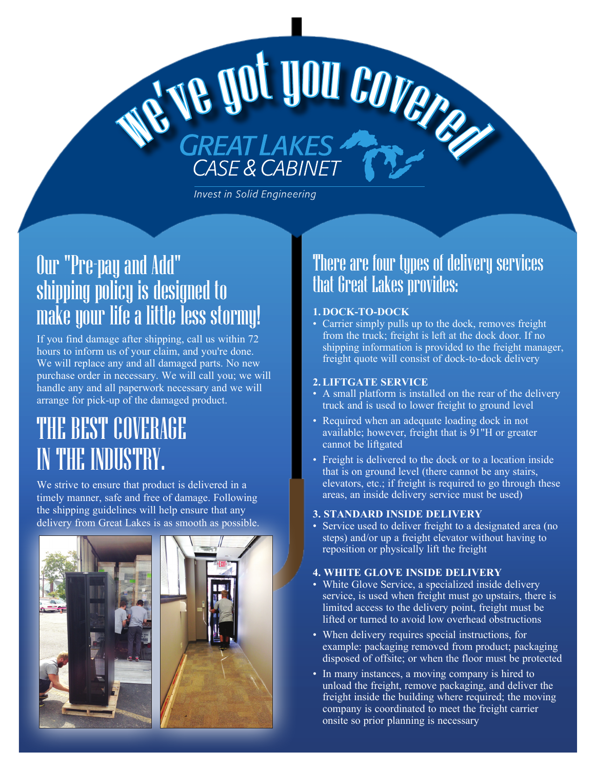# Our "Pre-pay and Add" shipping policy is designed to make your life a little less stormy!

we

If you find damage after shipping, call us within 72 hours to inform us of your claim, and you're done. We will replace any and all damaged parts. No new purchase order in necessary. We will call you; we will handle any and all paperwork necessary and we will arrange for pick-up of the damaged product.

# THE BEST COVERAGE IN THE INDUSTRY.

We strive to ensure that product is delivered in a timely manner, safe and free of damage. Following the shipping guidelines will help ensure that any delivery from Great Lakes is as smooth as possible.





## There are four types of delivery services that Great Lakes provides:

### **1. DOCK-TO-DOCK**

've got you covered

**Invest in Solid Engineering** 

• Carrier simply pulls up to the dock, removes freight from the truck; freight is left at the dock door. If no shipping information is provided to the freight manager, freight quote will consist of dock-to-dock delivery

### **2.LIFTGATE SERVICE**

- A small platform is installed on the rear of the delivery truck and is used to lower freight to ground level
- Required when an adequate loading dock in not available; however, freight that is 91"H or greater cannot be liftgated
- Freight is delivered to the dock or to a location inside that is on ground level (there cannot be any stairs, elevators, etc.; if freight is required to go through these areas, an inside delivery service must be used)

### **3. STANDARD INSIDE DELIVERY**

• Service used to deliver freight to a designated area (no steps) and/or up a freight elevator without having to reposition or physically lift the freight

### **4. WHITE GLOVE INSIDE DELIVERY**

- White Glove Service, a specialized inside delivery service, is used when freight must go upstairs, there is limited access to the delivery point, freight must be lifted or turned to avoid low overhead obstructions
- When delivery requires special instructions, for example: packaging removed from product; packaging disposed of offsite; or when the floor must be protected
- In many instances, a moving company is hired to unload the freight, remove packaging, and deliver the freight inside the building where required; the moving company is coordinated to meet the freight carrier onsite so prior planning is necessary